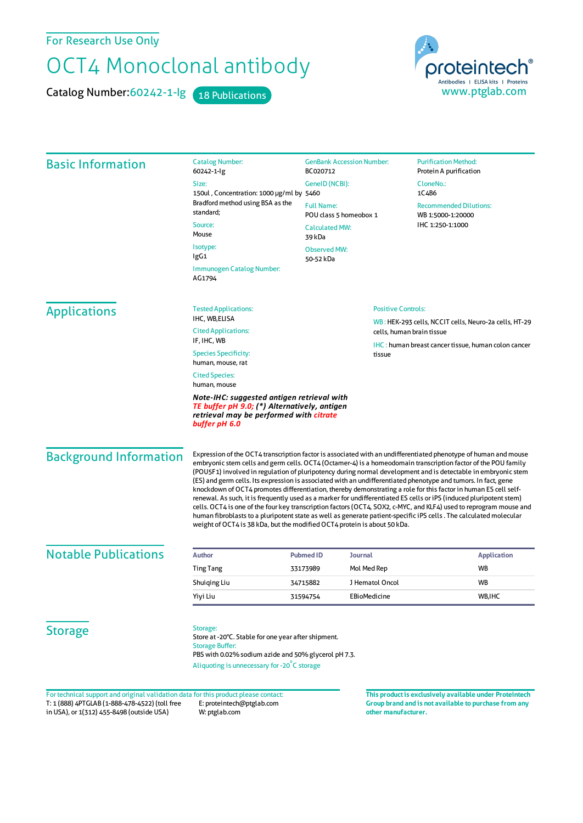For Research Use Only

## OCT4 Monoclonal antibody

Catalog Number: 60242-1-lg 18 Publications

proteintech® Antibodies | ELISA kits | Proteins<br>WWW.ptglab.com

| <b>Basic Information</b>      | <b>Catalog Number:</b><br>60242-1-lg                                                                                                                                                                                                                                                                                                                                                                                                                                                                                                                                                                                                                                                                                                                                                                                                                                                                                                                                                                                                 | <b>GenBank Accession Number:</b><br>BC020712                                                          |                                                                      | <b>Purification Method:</b><br>Protein A purification                              |  |
|-------------------------------|--------------------------------------------------------------------------------------------------------------------------------------------------------------------------------------------------------------------------------------------------------------------------------------------------------------------------------------------------------------------------------------------------------------------------------------------------------------------------------------------------------------------------------------------------------------------------------------------------------------------------------------------------------------------------------------------------------------------------------------------------------------------------------------------------------------------------------------------------------------------------------------------------------------------------------------------------------------------------------------------------------------------------------------|-------------------------------------------------------------------------------------------------------|----------------------------------------------------------------------|------------------------------------------------------------------------------------|--|
|                               | Size:                                                                                                                                                                                                                                                                                                                                                                                                                                                                                                                                                                                                                                                                                                                                                                                                                                                                                                                                                                                                                                | GenelD (NCBI):                                                                                        |                                                                      | CloneNo.:                                                                          |  |
|                               | 150ul, Concentration: 1000 µg/ml by 5460<br>Bradford method using BSA as the<br>standard;                                                                                                                                                                                                                                                                                                                                                                                                                                                                                                                                                                                                                                                                                                                                                                                                                                                                                                                                            |                                                                                                       |                                                                      | 1C4B6                                                                              |  |
|                               |                                                                                                                                                                                                                                                                                                                                                                                                                                                                                                                                                                                                                                                                                                                                                                                                                                                                                                                                                                                                                                      | <b>Full Name:</b><br>POU class 5 homeobox 1<br><b>Calculated MW:</b><br>39 kDa<br><b>Observed MW:</b> |                                                                      | <b>Recommended Dilutions:</b><br>WB 1:5000-1:20000<br>IHC 1:250-1:1000             |  |
|                               | Source:                                                                                                                                                                                                                                                                                                                                                                                                                                                                                                                                                                                                                                                                                                                                                                                                                                                                                                                                                                                                                              |                                                                                                       |                                                                      |                                                                                    |  |
|                               | Mouse                                                                                                                                                                                                                                                                                                                                                                                                                                                                                                                                                                                                                                                                                                                                                                                                                                                                                                                                                                                                                                |                                                                                                       |                                                                      |                                                                                    |  |
|                               | Isotype:<br>lgG1                                                                                                                                                                                                                                                                                                                                                                                                                                                                                                                                                                                                                                                                                                                                                                                                                                                                                                                                                                                                                     |                                                                                                       |                                                                      |                                                                                    |  |
|                               | Immunogen Catalog Number:                                                                                                                                                                                                                                                                                                                                                                                                                                                                                                                                                                                                                                                                                                                                                                                                                                                                                                                                                                                                            | 50-52 kDa                                                                                             |                                                                      |                                                                                    |  |
|                               | AG1794                                                                                                                                                                                                                                                                                                                                                                                                                                                                                                                                                                                                                                                                                                                                                                                                                                                                                                                                                                                                                               |                                                                                                       |                                                                      |                                                                                    |  |
| <b>Applications</b>           | <b>Tested Applications:</b>                                                                                                                                                                                                                                                                                                                                                                                                                                                                                                                                                                                                                                                                                                                                                                                                                                                                                                                                                                                                          |                                                                                                       | <b>Positive Controls:</b>                                            |                                                                                    |  |
|                               | IHC, WB,ELISA                                                                                                                                                                                                                                                                                                                                                                                                                                                                                                                                                                                                                                                                                                                                                                                                                                                                                                                                                                                                                        |                                                                                                       |                                                                      | WB: HEK-293 cells, NCCIT cells, Neuro-2a cells, HT-29<br>cells, human brain tissue |  |
|                               | <b>Cited Applications:</b><br>IF, IHC, WB                                                                                                                                                                                                                                                                                                                                                                                                                                                                                                                                                                                                                                                                                                                                                                                                                                                                                                                                                                                            |                                                                                                       |                                                                      |                                                                                    |  |
|                               | <b>Species Specificity:</b><br>human, mouse, rat                                                                                                                                                                                                                                                                                                                                                                                                                                                                                                                                                                                                                                                                                                                                                                                                                                                                                                                                                                                     |                                                                                                       | <b>IHC:</b> human breast cancer tissue, human colon cancer<br>tissue |                                                                                    |  |
|                               | <b>Cited Species:</b><br>human, mouse                                                                                                                                                                                                                                                                                                                                                                                                                                                                                                                                                                                                                                                                                                                                                                                                                                                                                                                                                                                                |                                                                                                       |                                                                      |                                                                                    |  |
|                               | Note-IHC: suggested antigen retrieval with<br>TE buffer pH 9.0; (*) Alternatively, antigen<br>retrieval may be performed with citrate<br>buffer pH 6.0                                                                                                                                                                                                                                                                                                                                                                                                                                                                                                                                                                                                                                                                                                                                                                                                                                                                               |                                                                                                       |                                                                      |                                                                                    |  |
| <b>Background Information</b> | Expression of the OCT4 transcription factor is associated with an undifferentiated phenotype of human and mouse<br>embryonic stem cells and germ cells. OCT4 (Octamer-4) is a homeodomain transcription factor of the POU family<br>(POU5F1) involved in regulation of pluripotency during normal development and is detectable in embryonic stem<br>(ES) and germ cells. Its expression is associated with an undifferentiated phenotype and tumors. In fact, gene<br>knockdown of OCT4 promotes differentiation, thereby demonstrating a role for this factor in human ES cell self-<br>renewal. As such, it is frequently used as a marker for undifferentiated ES cells or iPS (induced pluripotent stem)<br>cells. OCT4 is one of the four key transcription factors (OCT4, SOX2, c-MYC, and KLF4) used to reprogram mouse and<br>human fibroblasts to a pluripotent state as well as generate patient-specific iPS cells. The calculated molecular<br>weight of OCT4 is 38 kDa, but the modified OCT4 protein is about 50 kDa. |                                                                                                       |                                                                      |                                                                                    |  |
| <b>Notable Publications</b>   |                                                                                                                                                                                                                                                                                                                                                                                                                                                                                                                                                                                                                                                                                                                                                                                                                                                                                                                                                                                                                                      |                                                                                                       |                                                                      |                                                                                    |  |
|                               | <b>Author</b>                                                                                                                                                                                                                                                                                                                                                                                                                                                                                                                                                                                                                                                                                                                                                                                                                                                                                                                                                                                                                        | <b>Pubmed ID</b><br><b>Journal</b><br>33173989                                                        |                                                                      | <b>Application</b><br><b>WB</b>                                                    |  |
|                               | <b>Ting Tang</b>                                                                                                                                                                                                                                                                                                                                                                                                                                                                                                                                                                                                                                                                                                                                                                                                                                                                                                                                                                                                                     | Mol Med Rep                                                                                           |                                                                      |                                                                                    |  |
|                               | Shuiqing Liu                                                                                                                                                                                                                                                                                                                                                                                                                                                                                                                                                                                                                                                                                                                                                                                                                                                                                                                                                                                                                         | 34715882                                                                                              | J Hematol Oncol                                                      | WB                                                                                 |  |
|                               | Yiyi Liu                                                                                                                                                                                                                                                                                                                                                                                                                                                                                                                                                                                                                                                                                                                                                                                                                                                                                                                                                                                                                             | EBioMedicine<br>31594754                                                                              |                                                                      | WB, IHC                                                                            |  |
|                               | Storage:                                                                                                                                                                                                                                                                                                                                                                                                                                                                                                                                                                                                                                                                                                                                                                                                                                                                                                                                                                                                                             |                                                                                                       |                                                                      |                                                                                    |  |

T: 1 (888) 4PTGLAB (1-888-478-4522) (toll free E: proteintech@ptglab.com in USA), or 1(312) 455-8498 (outside USA) W: ptglab.com Fortechnical support and original validation data forthis product please contact: **This productis exclusively available under Proteintech**

**Group brand and is not available to purchase from any other manufacturer.**